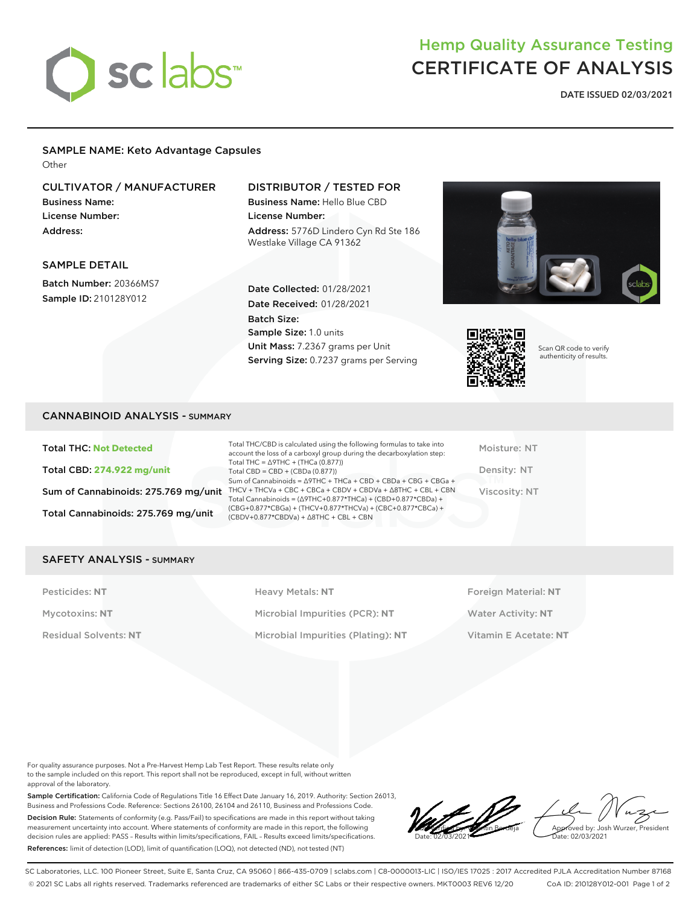

# Hemp Quality Assurance Testing CERTIFICATE OF ANALYSIS

**DATE ISSUED 02/03/2021**

# SAMPLE NAME: Keto Advantage Capsules

**Other** 

## CULTIVATOR / MANUFACTURER

Business Name: License Number: Address:

SAMPLE DETAIL

Batch Number: 20366MS7 Sample ID: 210128Y012

### DISTRIBUTOR / TESTED FOR

Date Collected: 01/28/2021 Date Received: 01/28/2021

Unit Mass: 7.2367 grams per Unit Serving Size: 0.7237 grams per Serving

Sample Size: 1.0 units

Batch Size:

Business Name: Hello Blue CBD License Number: Address: 5776D Lindero Cyn Rd Ste 186 Westlake Village CA 91362





Scan QR code to verify authenticity of results.

| <b>CANNABINOID ANALYSIS - SUMMARY</b> |  |  |
|---------------------------------------|--|--|
|---------------------------------------|--|--|

Total THC: **Not Detected** Total CBD: **274.922 mg/unit** Total Cannabinoids: 275.769 mg/unit

Sum of Cannabinoids: 275.769 mg/unit THCV + THCVa + CBC + CBCa + CBDV + CBDVa +  $\triangle$ 8THC + CBL + CBN Total THC/CBD is calculated using the following formulas to take into account the loss of a carboxyl group during the decarboxylation step: Total THC = ∆9THC + (THCa (0.877)) Total CBD = CBD + (CBDa (0.877)) Sum of Cannabinoids = ∆9THC + THCa + CBD + CBDa + CBG + CBGa + Total Cannabinoids = (∆9THC+0.877\*THCa) + (CBD+0.877\*CBDa) + (CBG+0.877\*CBGa) + (THCV+0.877\*THCVa) + (CBC+0.877\*CBCa) + (CBDV+0.877\*CBDVa) + ∆8THC + CBL + CBN

Moisture: NT Density: NT Viscosity: NT

#### SAFETY ANALYSIS - SUMMARY

Pesticides: NT **All Accords** Heavy Metals: NT **Foreign Material: NT** Pesticides: NT Mycotoxins: **NT** Microbial Impurities (PCR): **NT** Water Activity: **NT** Residual Solvents: **NT** Microbial Impurities (Plating): **NT** Vitamin E Acetate: **NT**

For quality assurance purposes. Not a Pre-Harvest Hemp Lab Test Report. These results relate only to the sample included on this report. This report shall not be reproduced, except in full, without written approval of the laboratory.

Sample Certification: California Code of Regulations Title 16 Effect Date January 16, 2019. Authority: Section 26013, Business and Professions Code. Reference: Sections 26100, 26104 and 26110, Business and Professions Code. Decision Rule: Statements of conformity (e.g. Pass/Fail) to specifications are made in this report without taking measurement uncertainty into account. Where statements of conformity are made in this report, the following decision rules are applied: PASS – Results within limits/specifications, FAIL – Results exceed limits/specifications. References: limit of detection (LOD), limit of quantification (LOQ), not detected (ND), not tested (NT)

LQC verified by: Valentin Berdeja Date: 02/03/2021 oved by: Josh Wurzer, President ate: 02/03/2021

SC Laboratories, LLC. 100 Pioneer Street, Suite E, Santa Cruz, CA 95060 | 866-435-0709 | sclabs.com | C8-0000013-LIC | ISO/IES 17025 : 2017 Accredited PJLA Accreditation Number 87168 © 2021 SC Labs all rights reserved. Trademarks referenced are trademarks of either SC Labs or their respective owners. MKT0003 REV6 12/20 CoA ID: 210128Y012-001 Page 1 of 2